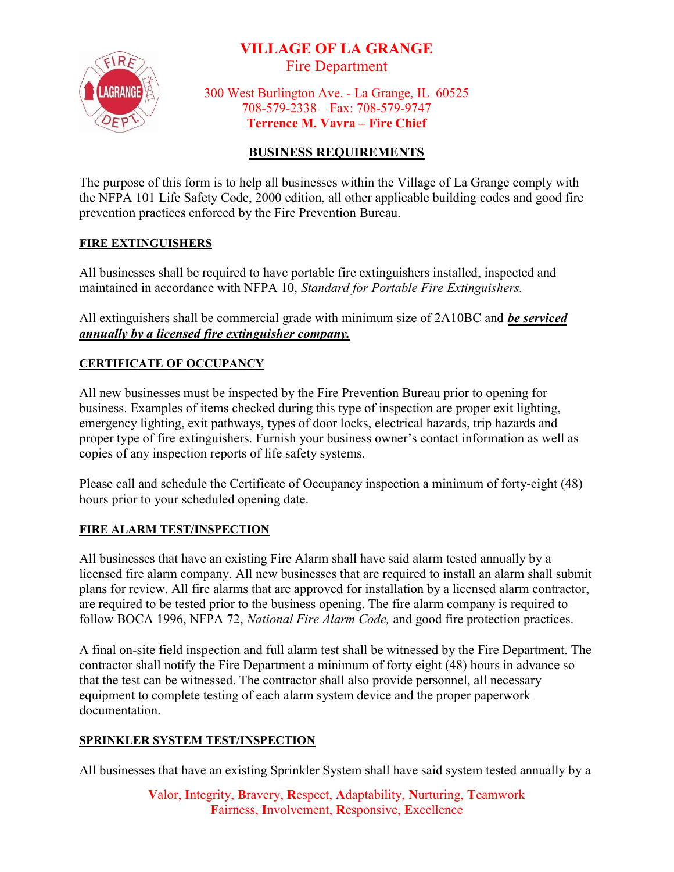# VILLAGE OF LA GRANGE

Fire Department



300 West Burlington Ave. - La Grange, IL 60525 708-579-2338 – Fax: 708-579-9747 Terrence M. Vavra – Fire Chief

# BUSINESS REQUIREMENTS

The purpose of this form is to help all businesses within the Village of La Grange comply with the NFPA 101 Life Safety Code, 2000 edition, all other applicable building codes and good fire prevention practices enforced by the Fire Prevention Bureau.

#### FIRE EXTINGUISHERS

All businesses shall be required to have portable fire extinguishers installed, inspected and maintained in accordance with NFPA 10, Standard for Portable Fire Extinguishers.

All extinguishers shall be commercial grade with minimum size of 2A10BC and be serviced annually by a licensed fire extinguisher company.

## CERTIFICATE OF OCCUPANCY

All new businesses must be inspected by the Fire Prevention Bureau prior to opening for business. Examples of items checked during this type of inspection are proper exit lighting, emergency lighting, exit pathways, types of door locks, electrical hazards, trip hazards and proper type of fire extinguishers. Furnish your business owner's contact information as well as copies of any inspection reports of life safety systems.

Please call and schedule the Certificate of Occupancy inspection a minimum of forty-eight (48) hours prior to your scheduled opening date.

#### FIRE ALARM TEST/INSPECTION

All businesses that have an existing Fire Alarm shall have said alarm tested annually by a licensed fire alarm company. All new businesses that are required to install an alarm shall submit plans for review. All fire alarms that are approved for installation by a licensed alarm contractor, are required to be tested prior to the business opening. The fire alarm company is required to follow BOCA 1996, NFPA 72, National Fire Alarm Code, and good fire protection practices.

A final on-site field inspection and full alarm test shall be witnessed by the Fire Department. The contractor shall notify the Fire Department a minimum of forty eight (48) hours in advance so that the test can be witnessed. The contractor shall also provide personnel, all necessary equipment to complete testing of each alarm system device and the proper paperwork documentation.

#### SPRINKLER SYSTEM TEST/INSPECTION

All businesses that have an existing Sprinkler System shall have said system tested annually by a

Valor, Integrity, Bravery, Respect, Adaptability, Nurturing, Teamwork Fairness, Involvement, Responsive, Excellence